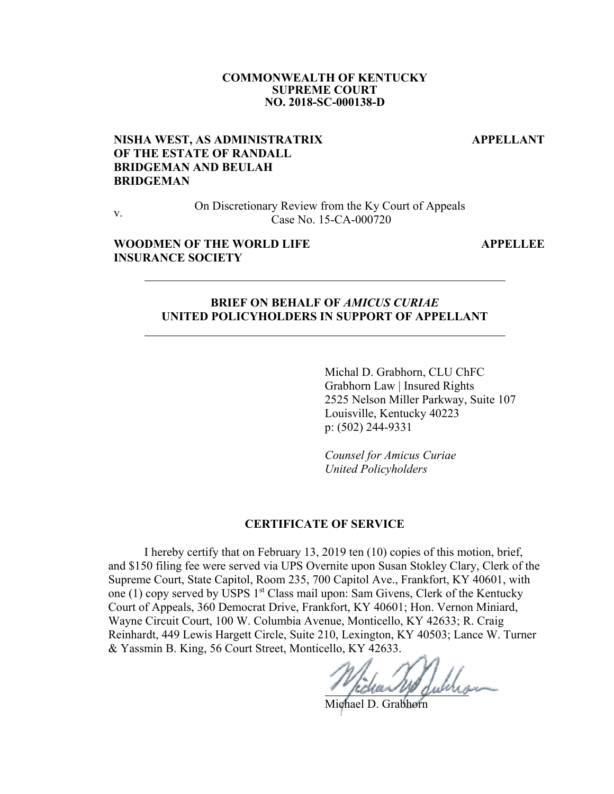#### **COMMONWEALTH OF KENTUCKY SUPREME COURT NO. 2018-SC-000138-D**

 **APPELLANT** 

## **NISHA WEST, AS ADMINISTRATRIX OF THE ESTATE OF RANDALL BRIDGEMAN AND BEULAH BRIDGEMAN**

 $\overline{a}$ 

 $\overline{a}$ 

v. On Discretionary Review from the Ky Court of Appeals Case No. 15-CA-000720

#### **WOODMEN OF THE WORLD LIFE INSURANCE SOCIETY**

 **APPELLEE** 

#### **BRIEF ON BEHALF OF** *AMICUS CURIAE* **UNITED POLICYHOLDERS IN SUPPORT OF APPELLANT**

Michal D. Grabhorn, CLU ChFC Grabhorn Law | Insured Rights 2525 Nelson Miller Parkway, Suite 107 Louisville, Kentucky 40223 p: (502) 244-9331

*Counsel for Amicus Curiae United Policyholders* 

#### **CERTIFICATE OF SERVICE**

I hereby certify that on February 13, 2019 ten (10) copies of this motion, brief, and \$150 filing fee were served via UPS Overnite upon Susan Stokley Clary, Clerk of the Supreme Court, State Capitol, Room 235, 700 Capitol Ave., Frankfort, KY 40601, with one (1) copy served by USPS 1<sup>st</sup> Class mail upon: Sam Givens, Clerk of the Kentucky Court of Appeals, 360 Democrat Drive, Frankfort, KY 40601; Hon. Vernon Miniard, Wayne Circuit Court, 100 W. Columbia Avenue, Monticello, KY 42633; R. Craig Reinhardt, 449 Lewis Hargett Circle, Suite 210, Lexington, KY 40503; Lance W. Turner & Yassmin B. King, 56 Court Street, Monticello, KY 42633.

Michael D. Grabhorn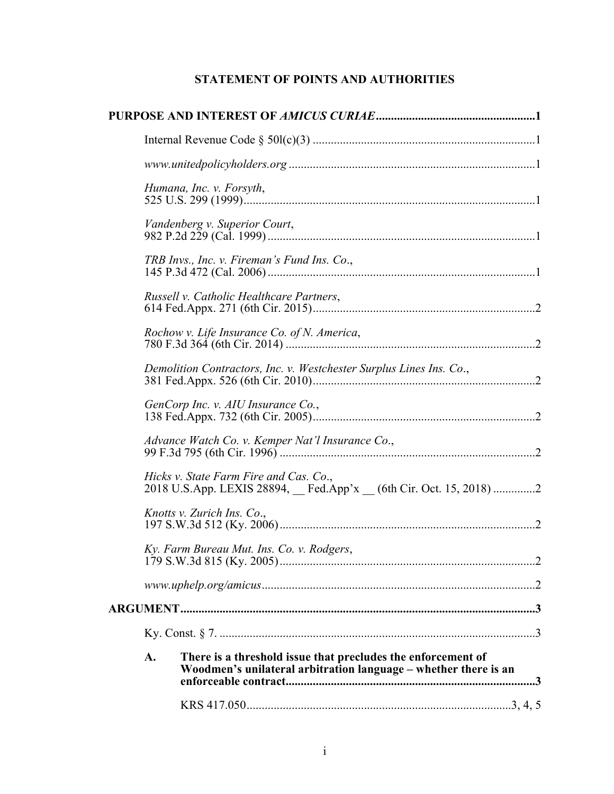# **STATEMENT OF POINTS AND AUTHORITIES**

|    | Humana, Inc. v. Forsyth,                                                                                                        |
|----|---------------------------------------------------------------------------------------------------------------------------------|
|    | Vandenberg v. Superior Court,                                                                                                   |
|    | TRB Invs., Inc. v. Fireman's Fund Ins. Co.,                                                                                     |
|    | Russell v. Catholic Healthcare Partners,                                                                                        |
|    | Rochow v. Life Insurance Co. of N. America,                                                                                     |
|    | Demolition Contractors, Inc. v. Westchester Surplus Lines Ins. Co.,                                                             |
|    | GenCorp Inc. v. AIU Insurance Co.,                                                                                              |
|    | Advance Watch Co. v. Kemper Nat'l Insurance Co.,                                                                                |
|    | Hicks v. State Farm Fire and Cas. Co.,<br>2018 U.S.App. LEXIS 28894, Fed.App'x (6th Cir. Oct. 15, 2018) 2                       |
|    | Knotts v. Zurich Ins. Co.,                                                                                                      |
|    | Ky. Farm Bureau Mut. Ins. Co. v. Rodgers,                                                                                       |
|    |                                                                                                                                 |
|    |                                                                                                                                 |
|    |                                                                                                                                 |
| A. | There is a threshold issue that precludes the enforcement of<br>Woodmen's unilateral arbitration language – whether there is an |
|    |                                                                                                                                 |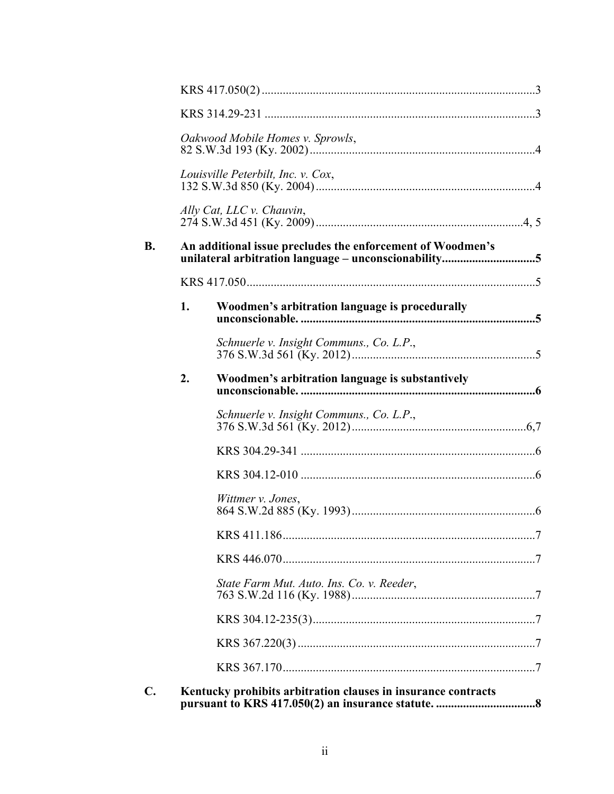|    |    | Oakwood Mobile Homes v. Sprowls,                              |  |  |  |
|----|----|---------------------------------------------------------------|--|--|--|
|    |    | Louisville Peterbilt, Inc. v. Cox,                            |  |  |  |
|    |    | Ally Cat, LLC v. Chauvin,                                     |  |  |  |
| B. |    | An additional issue precludes the enforcement of Woodmen's    |  |  |  |
|    |    |                                                               |  |  |  |
|    | 1. | Woodmen's arbitration language is procedurally                |  |  |  |
|    |    | Schnuerle v. Insight Communs., Co. L.P.,                      |  |  |  |
|    | 2. | Woodmen's arbitration language is substantively               |  |  |  |
|    |    | Schnuerle v. Insight Communs., Co. L.P.,                      |  |  |  |
|    |    |                                                               |  |  |  |
|    |    |                                                               |  |  |  |
|    |    | Wittmer v. Jones,                                             |  |  |  |
|    |    |                                                               |  |  |  |
|    |    |                                                               |  |  |  |
|    |    | State Farm Mut. Auto. Ins. Co. v. Reeder,                     |  |  |  |
|    |    |                                                               |  |  |  |
|    |    |                                                               |  |  |  |
|    |    |                                                               |  |  |  |
| C. |    | Kentucky prohibits arbitration clauses in insurance contracts |  |  |  |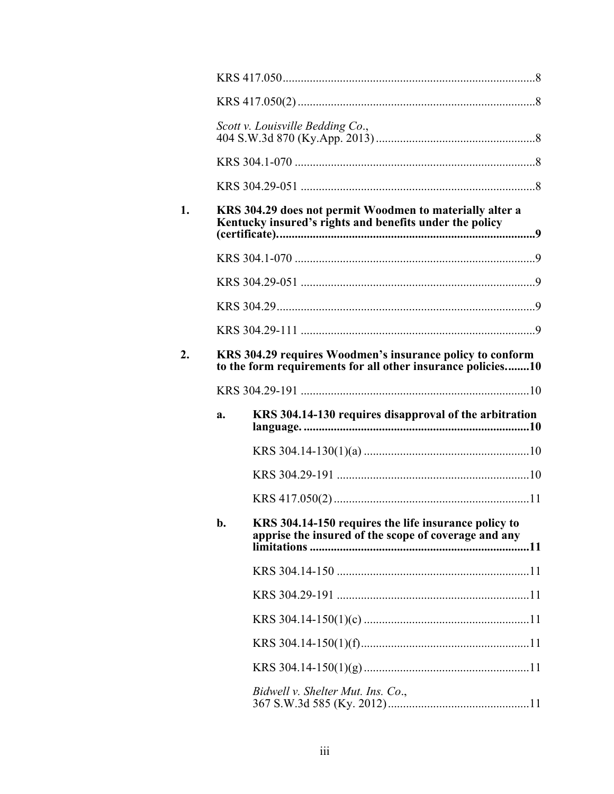|    | Scott v. Louisville Bedding Co.,                                                                                         |  |  |
|----|--------------------------------------------------------------------------------------------------------------------------|--|--|
|    |                                                                                                                          |  |  |
|    |                                                                                                                          |  |  |
|    | KRS 304.29 does not permit Woodmen to materially alter a<br>Kentucky insured's rights and benefits under the policy      |  |  |
|    |                                                                                                                          |  |  |
|    |                                                                                                                          |  |  |
|    |                                                                                                                          |  |  |
|    |                                                                                                                          |  |  |
|    | KRS 304.29 requires Woodmen's insurance policy to conform<br>to the form requirements for all other insurance policies10 |  |  |
|    |                                                                                                                          |  |  |
|    |                                                                                                                          |  |  |
| a. | KRS 304.14-130 requires disapproval of the arbitration                                                                   |  |  |
|    |                                                                                                                          |  |  |
|    |                                                                                                                          |  |  |
|    |                                                                                                                          |  |  |
| b. | KRS 304.14-150 requires the life insurance policy to<br>apprise the insured of the scope of coverage and any             |  |  |
|    |                                                                                                                          |  |  |
|    |                                                                                                                          |  |  |
|    |                                                                                                                          |  |  |
|    |                                                                                                                          |  |  |
|    |                                                                                                                          |  |  |

 $1.$ 

 $2.$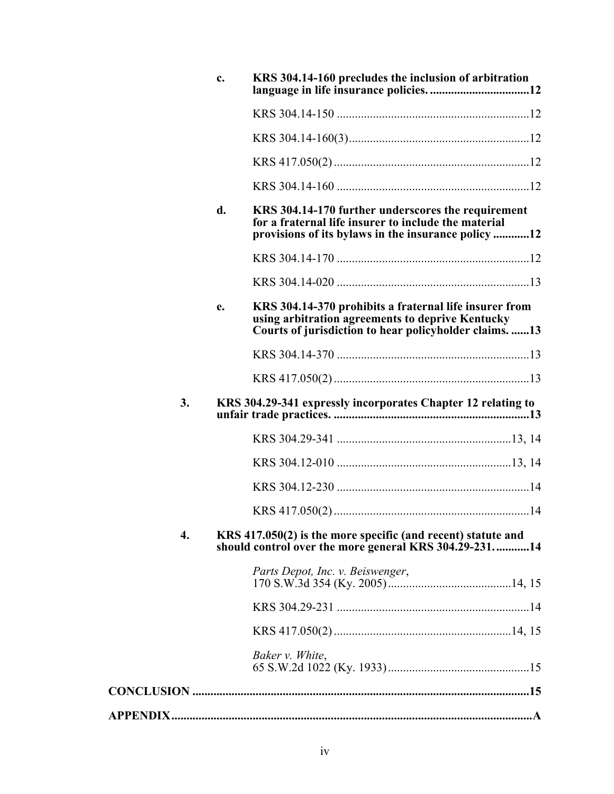|                    | c. | KRS 304.14-160 precludes the inclusion of arbitration                                                                                                                 |
|--------------------|----|-----------------------------------------------------------------------------------------------------------------------------------------------------------------------|
|                    |    |                                                                                                                                                                       |
|                    |    |                                                                                                                                                                       |
|                    |    |                                                                                                                                                                       |
|                    |    |                                                                                                                                                                       |
|                    | d. | KRS 304.14-170 further underscores the requirement<br>for a fraternal life insurer to include the material<br>provisions of its bylaws in the insurance policy 12     |
|                    |    |                                                                                                                                                                       |
|                    |    |                                                                                                                                                                       |
|                    | e. | KRS 304.14-370 prohibits a fraternal life insurer from<br>using arbitration agreements to deprive Kentucky<br>Courts of jurisdiction to hear policyholder claims.  13 |
|                    |    |                                                                                                                                                                       |
|                    |    |                                                                                                                                                                       |
| 3.                 |    | KRS 304.29-341 expressly incorporates Chapter 12 relating to                                                                                                          |
|                    |    |                                                                                                                                                                       |
|                    |    |                                                                                                                                                                       |
|                    |    |                                                                                                                                                                       |
|                    |    |                                                                                                                                                                       |
| $\boldsymbol{4}$ . |    | KRS 417.050(2) is the more specific (and recent) statute and<br>should control over the more general KRS 304.29-23114                                                 |
|                    |    | Parts Depot, Inc. v. Beiswenger,                                                                                                                                      |
|                    |    |                                                                                                                                                                       |
|                    |    |                                                                                                                                                                       |
|                    |    | Baker v. White,                                                                                                                                                       |
|                    |    |                                                                                                                                                                       |
|                    |    |                                                                                                                                                                       |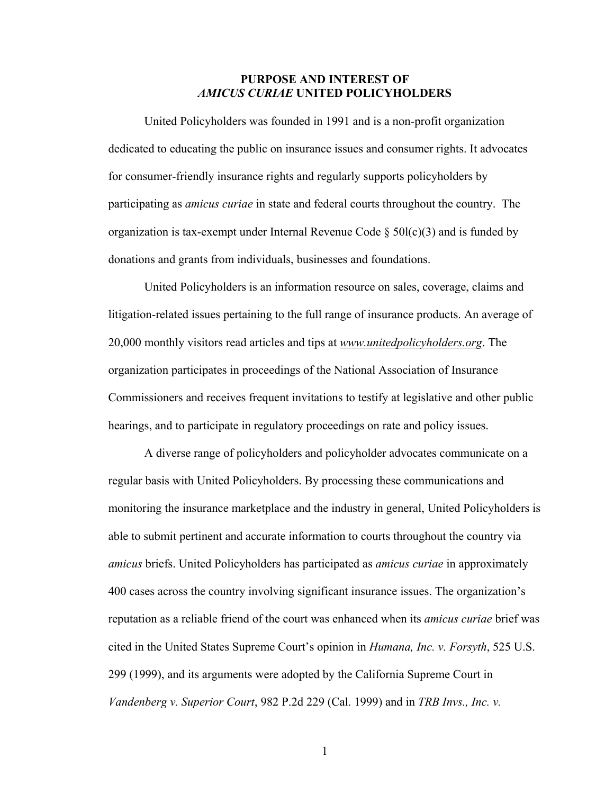## **PURPOSE AND INTEREST OF**  *AMICUS CURIAE* **UNITED POLICYHOLDERS**

United Policyholders was founded in 1991 and is a non-profit organization dedicated to educating the public on insurance issues and consumer rights. It advocates for consumer-friendly insurance rights and regularly supports policyholders by participating as *amicus curiae* in state and federal courts throughout the country. The organization is tax-exempt under Internal Revenue Code  $\S$  50l(c)(3) and is funded by donations and grants from individuals, businesses and foundations.

United Policyholders is an information resource on sales, coverage, claims and litigation-related issues pertaining to the full range of insurance products. An average of 20,000 monthly visitors read articles and tips at *www.unitedpolicyholders.org*. The organization participates in proceedings of the National Association of Insurance Commissioners and receives frequent invitations to testify at legislative and other public hearings, and to participate in regulatory proceedings on rate and policy issues.

A diverse range of policyholders and policyholder advocates communicate on a regular basis with United Policyholders. By processing these communications and monitoring the insurance marketplace and the industry in general, United Policyholders is able to submit pertinent and accurate information to courts throughout the country via *amicus* briefs. United Policyholders has participated as *amicus curiae* in approximately 400 cases across the country involving significant insurance issues. The organization's reputation as a reliable friend of the court was enhanced when its *amicus curiae* brief was cited in the United States Supreme Court's opinion in *Humana, Inc. v. Forsyth*, 525 U.S. 299 (1999), and its arguments were adopted by the California Supreme Court in *Vandenberg v. Superior Court*, 982 P.2d 229 (Cal. 1999) and in *TRB Invs., Inc. v.*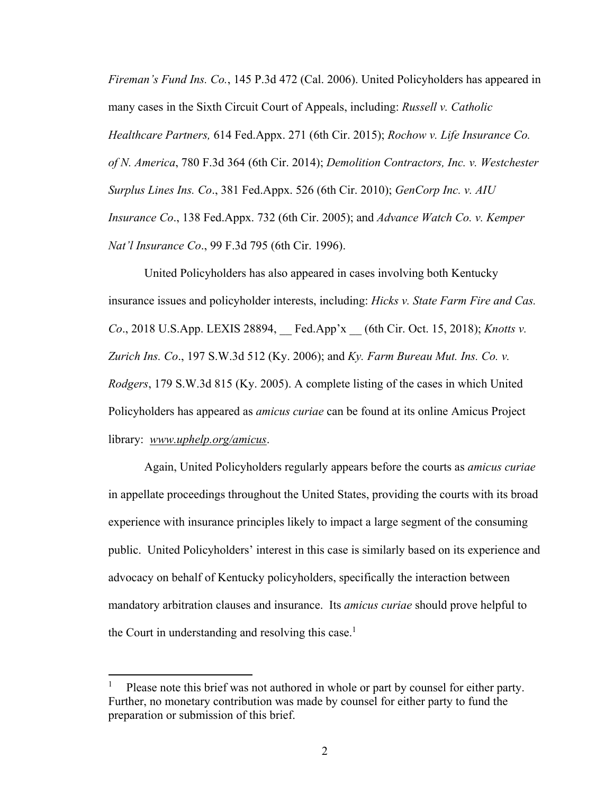*Fireman's Fund Ins. Co.*, 145 P.3d 472 (Cal. 2006). United Policyholders has appeared in many cases in the Sixth Circuit Court of Appeals, including: *Russell v. Catholic Healthcare Partners,* 614 Fed.Appx. 271 (6th Cir. 2015); *Rochow v. Life Insurance Co. of N. America*, 780 F.3d 364 (6th Cir. 2014); *Demolition Contractors, Inc. v. Westchester Surplus Lines Ins. Co*., 381 Fed.Appx. 526 (6th Cir. 2010); *GenCorp Inc. v. AIU Insurance Co*., 138 Fed.Appx. 732 (6th Cir. 2005); and *Advance Watch Co. v. Kemper Nat'l Insurance Co*., 99 F.3d 795 (6th Cir. 1996).

United Policyholders has also appeared in cases involving both Kentucky insurance issues and policyholder interests, including: *Hicks v. State Farm Fire and Cas. Co*., 2018 U.S.App. LEXIS 28894, \_\_ Fed.App'x \_\_ (6th Cir. Oct. 15, 2018); *Knotts v. Zurich Ins. Co*., 197 S.W.3d 512 (Ky. 2006); and *Ky. Farm Bureau Mut. Ins. Co. v. Rodgers*, 179 S.W.3d 815 (Ky. 2005). A complete listing of the cases in which United Policyholders has appeared as *amicus curiae* can be found at its online Amicus Project library: *www.uphelp.org/amicus*.

Again, United Policyholders regularly appears before the courts as *amicus curiae*  in appellate proceedings throughout the United States, providing the courts with its broad experience with insurance principles likely to impact a large segment of the consuming public. United Policyholders' interest in this case is similarly based on its experience and advocacy on behalf of Kentucky policyholders, specifically the interaction between mandatory arbitration clauses and insurance. Its *amicus curiae* should prove helpful to the Court in understanding and resolving this case.<sup>1</sup>

<sup>1</sup> Please note this brief was not authored in whole or part by counsel for either party. Further, no monetary contribution was made by counsel for either party to fund the preparation or submission of this brief.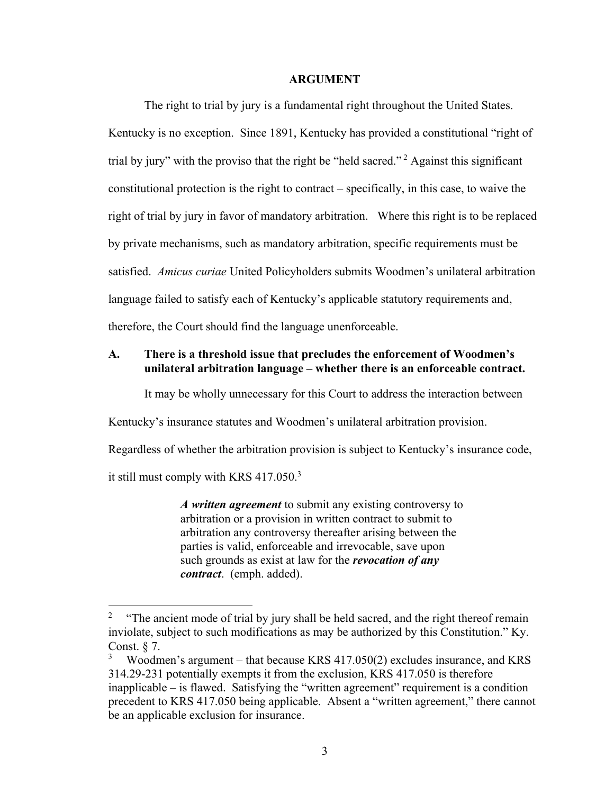#### **ARGUMENT**

 The right to trial by jury is a fundamental right throughout the United States. Kentucky is no exception. Since 1891, Kentucky has provided a constitutional "right of trial by jury" with the proviso that the right be "held sacred."<sup>2</sup> Against this significant constitutional protection is the right to contract – specifically, in this case, to waive the right of trial by jury in favor of mandatory arbitration. Where this right is to be replaced by private mechanisms, such as mandatory arbitration, specific requirements must be satisfied. *Amicus curiae* United Policyholders submits Woodmen's unilateral arbitration language failed to satisfy each of Kentucky's applicable statutory requirements and, therefore, the Court should find the language unenforceable.

## **A. There is a threshold issue that precludes the enforcement of Woodmen's unilateral arbitration language – whether there is an enforceable contract.**

It may be wholly unnecessary for this Court to address the interaction between

Kentucky's insurance statutes and Woodmen's unilateral arbitration provision.

Regardless of whether the arbitration provision is subject to Kentucky's insurance code,

it still must comply with KRS  $417.050$ .<sup>3</sup>

 $\overline{a}$ 

*A written agreement* to submit any existing controversy to arbitration or a provision in written contract to submit to arbitration any controversy thereafter arising between the parties is valid, enforceable and irrevocable, save upon such grounds as exist at law for the *revocation of any contract*. (emph. added).

<sup>2</sup> "The ancient mode of trial by jury shall be held sacred, and the right thereof remain inviolate, subject to such modifications as may be authorized by this Constitution." Ky. Const. § 7.

<sup>3</sup> Woodmen's argument – that because KRS 417.050(2) excludes insurance, and KRS 314.29-231 potentially exempts it from the exclusion, KRS 417.050 is therefore inapplicable – is flawed. Satisfying the "written agreement" requirement is a condition precedent to KRS 417.050 being applicable. Absent a "written agreement," there cannot be an applicable exclusion for insurance.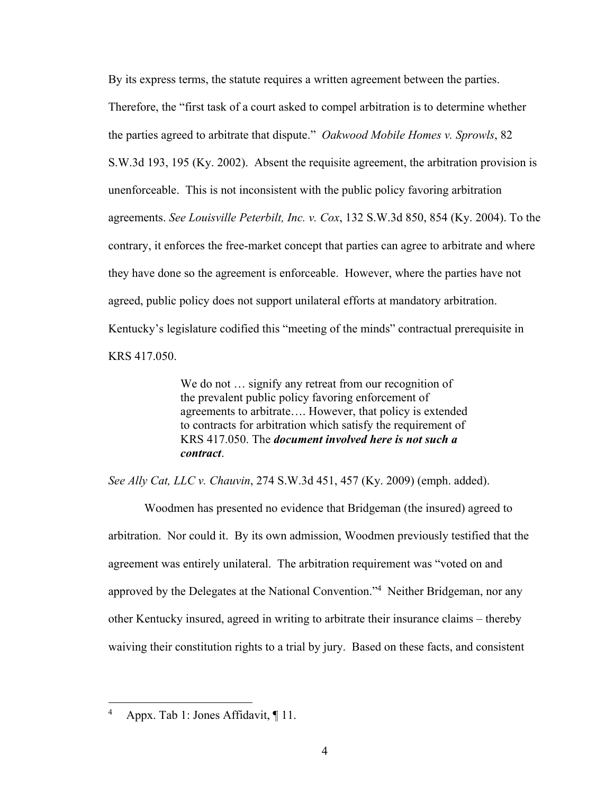By its express terms, the statute requires a written agreement between the parties. Therefore, the "first task of a court asked to compel arbitration is to determine whether the parties agreed to arbitrate that dispute." *Oakwood Mobile Homes v. Sprowls*, 82 S.W.3d 193, 195 (Ky. 2002). Absent the requisite agreement, the arbitration provision is unenforceable. This is not inconsistent with the public policy favoring arbitration agreements. *See Louisville Peterbilt, Inc. v. Cox*, 132 S.W.3d 850, 854 (Ky. 2004). To the contrary, it enforces the free-market concept that parties can agree to arbitrate and where they have done so the agreement is enforceable. However, where the parties have not agreed, public policy does not support unilateral efforts at mandatory arbitration. Kentucky's legislature codified this "meeting of the minds" contractual prerequisite in KRS 417.050.

> We do not ... signify any retreat from our recognition of the prevalent public policy favoring enforcement of agreements to arbitrate…. However, that policy is extended to contracts for arbitration which satisfy the requirement of KRS 417.050. The *document involved here is not such a contract*.

*See Ally Cat, LLC v. Chauvin*, 274 S.W.3d 451, 457 (Ky. 2009) (emph. added).

 Woodmen has presented no evidence that Bridgeman (the insured) agreed to arbitration. Nor could it. By its own admission, Woodmen previously testified that the agreement was entirely unilateral. The arbitration requirement was "voted on and approved by the Delegates at the National Convention."<sup>4</sup> Neither Bridgeman, nor any other Kentucky insured, agreed in writing to arbitrate their insurance claims – thereby waiving their constitution rights to a trial by jury. Based on these facts, and consistent

<sup>4</sup> Appx. Tab 1: Jones Affidavit, ¶ 11.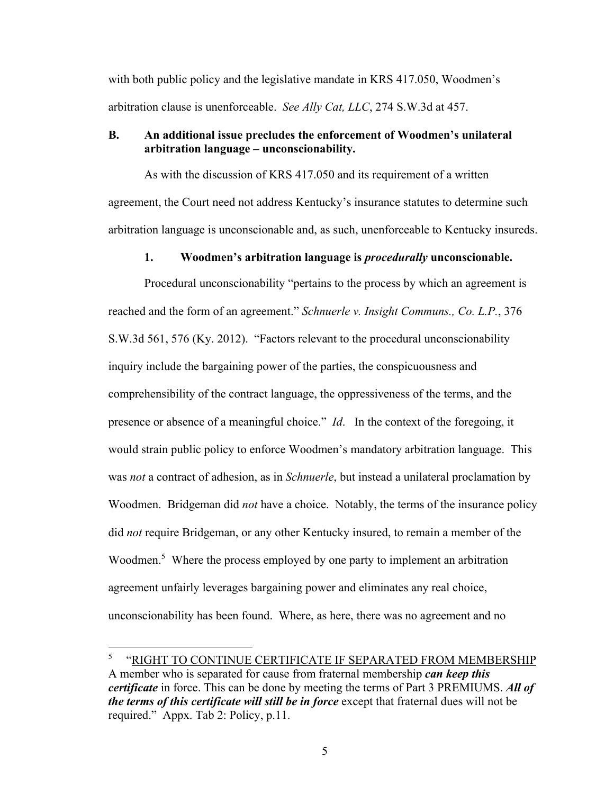with both public policy and the legislative mandate in KRS 417.050, Woodmen's arbitration clause is unenforceable. *See Ally Cat, LLC*, 274 S.W.3d at 457.

#### **B. An additional issue precludes the enforcement of Woodmen's unilateral arbitration language – unconscionability.**

As with the discussion of KRS 417.050 and its requirement of a written agreement, the Court need not address Kentucky's insurance statutes to determine such arbitration language is unconscionable and, as such, unenforceable to Kentucky insureds.

#### **1. Woodmen's arbitration language is** *procedurally* **unconscionable.**

Procedural unconscionability "pertains to the process by which an agreement is reached and the form of an agreement." *Schnuerle v. Insight Communs., Co. L.P.*, 376 S.W.3d 561, 576 (Ky. 2012). "Factors relevant to the procedural unconscionability inquiry include the bargaining power of the parties, the conspicuousness and comprehensibility of the contract language, the oppressiveness of the terms, and the presence or absence of a meaningful choice." *Id*. In the context of the foregoing, it would strain public policy to enforce Woodmen's mandatory arbitration language. This was *not* a contract of adhesion, as in *Schnuerle*, but instead a unilateral proclamation by Woodmen. Bridgeman did *not* have a choice. Notably, the terms of the insurance policy did *not* require Bridgeman, or any other Kentucky insured, to remain a member of the Woodmen.<sup>5</sup> Where the process employed by one party to implement an arbitration agreement unfairly leverages bargaining power and eliminates any real choice, unconscionability has been found. Where, as here, there was no agreement and no

<sup>5</sup> "RIGHT TO CONTINUE CERTIFICATE IF SEPARATED FROM MEMBERSHIP A member who is separated for cause from fraternal membership *can keep this certificate* in force. This can be done by meeting the terms of Part 3 PREMIUMS. *All of the terms of this certificate will still be in force* except that fraternal dues will not be required." Appx. Tab 2: Policy, p.11.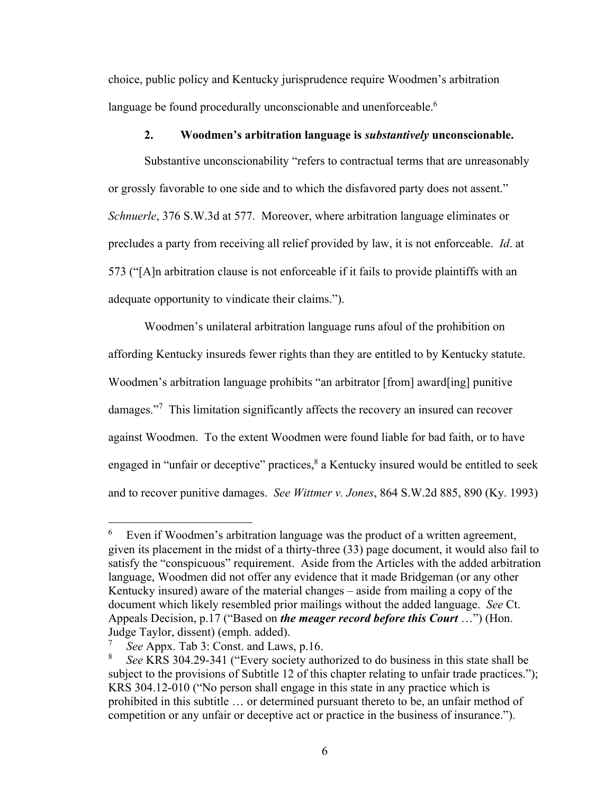choice, public policy and Kentucky jurisprudence require Woodmen's arbitration language be found procedurally unconscionable and unenforceable.<sup>6</sup>

#### **2. Woodmen's arbitration language is** *substantively* **unconscionable.**

Substantive unconscionability "refers to contractual terms that are unreasonably or grossly favorable to one side and to which the disfavored party does not assent." *Schnuerle*, 376 S.W.3d at 577. Moreover, where arbitration language eliminates or precludes a party from receiving all relief provided by law, it is not enforceable. *Id*. at 573 ("[A]n arbitration clause is not enforceable if it fails to provide plaintiffs with an adequate opportunity to vindicate their claims.").

Woodmen's unilateral arbitration language runs afoul of the prohibition on affording Kentucky insureds fewer rights than they are entitled to by Kentucky statute. Woodmen's arbitration language prohibits "an arbitrator [from] award[ing] punitive damages."<sup>7</sup> This limitation significantly affects the recovery an insured can recover against Woodmen. To the extent Woodmen were found liable for bad faith, or to have engaged in "unfair or deceptive" practices, $8$  a Kentucky insured would be entitled to seek and to recover punitive damages. *See Wittmer v. Jones*, 864 S.W.2d 885, 890 (Ky. 1993)

<sup>6</sup> Even if Woodmen's arbitration language was the product of a written agreement, given its placement in the midst of a thirty-three (33) page document, it would also fail to satisfy the "conspicuous" requirement. Aside from the Articles with the added arbitration language, Woodmen did not offer any evidence that it made Bridgeman (or any other Kentucky insured) aware of the material changes – aside from mailing a copy of the document which likely resembled prior mailings without the added language. *See* Ct. Appeals Decision, p.17 ("Based on *the meager record before this Court* …") (Hon. Judge Taylor, dissent) (emph. added).

<sup>7</sup> *See* Appx. Tab 3: Const. and Laws, p.16.

<sup>8</sup> *See* KRS 304.29-341 ("Every society authorized to do business in this state shall be subject to the provisions of Subtitle 12 of this chapter relating to unfair trade practices."); KRS 304.12-010 ("No person shall engage in this state in any practice which is prohibited in this subtitle … or determined pursuant thereto to be, an unfair method of competition or any unfair or deceptive act or practice in the business of insurance.").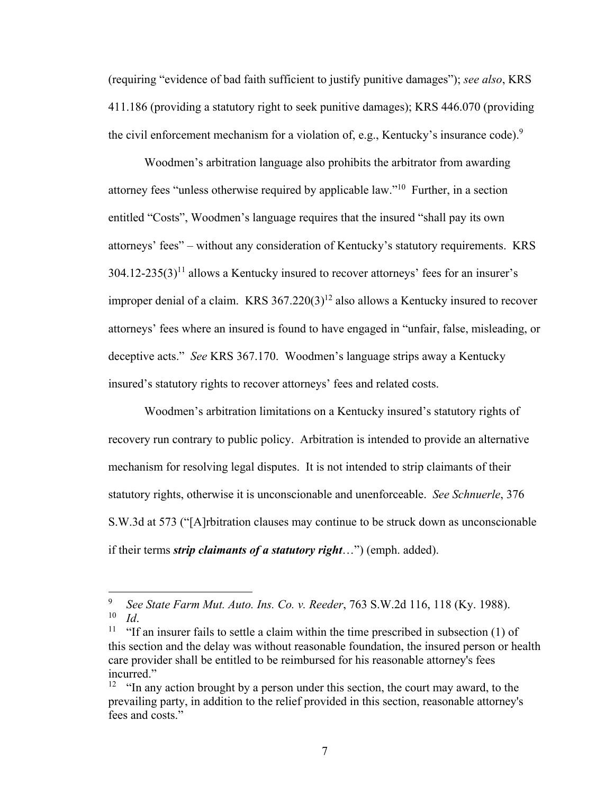(requiring "evidence of bad faith sufficient to justify punitive damages"); *see also*, KRS 411.186 (providing a statutory right to seek punitive damages); KRS 446.070 (providing the civil enforcement mechanism for a violation of, e.g., Kentucky's insurance code).<sup>9</sup>

Woodmen's arbitration language also prohibits the arbitrator from awarding attorney fees "unless otherwise required by applicable law."10 Further, in a section entitled "Costs", Woodmen's language requires that the insured "shall pay its own attorneys' fees" – without any consideration of Kentucky's statutory requirements. KRS  $304.12-235(3)^{11}$  allows a Kentucky insured to recover attorneys' fees for an insurer's improper denial of a claim. KRS  $367.220(3)^{12}$  also allows a Kentucky insured to recover attorneys' fees where an insured is found to have engaged in "unfair, false, misleading, or deceptive acts." *See* KRS 367.170. Woodmen's language strips away a Kentucky insured's statutory rights to recover attorneys' fees and related costs.

Woodmen's arbitration limitations on a Kentucky insured's statutory rights of recovery run contrary to public policy. Arbitration is intended to provide an alternative mechanism for resolving legal disputes. It is not intended to strip claimants of their statutory rights, otherwise it is unconscionable and unenforceable. *See Schnuerle*, 376 S.W.3d at 573 ("[A]rbitration clauses may continue to be struck down as unconscionable if their terms *strip claimants of a statutory right*…") (emph. added).

<sup>9</sup> *See State Farm Mut. Auto. Ins. Co. v. Reeder*, 763 S.W.2d 116, 118 (Ky. 1988).

<sup>&</sup>lt;sup>11</sup> "If an insurer fails to settle a claim within the time prescribed in subsection (1) of this section and the delay was without reasonable foundation, the insured person or health care provider shall be entitled to be reimbursed for his reasonable attorney's fees incurred."

 $12$  "In any action brought by a person under this section, the court may award, to the prevailing party, in addition to the relief provided in this section, reasonable attorney's fees and costs."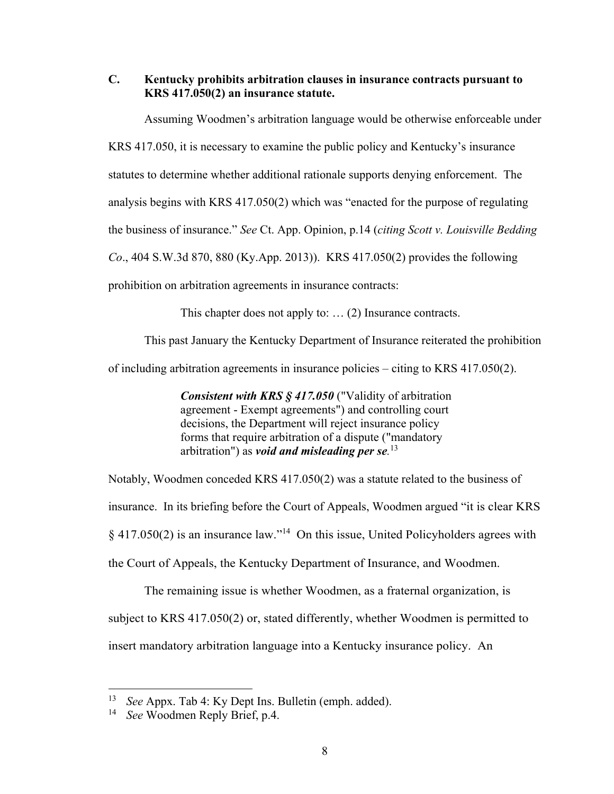**C. Kentucky prohibits arbitration clauses in insurance contracts pursuant to KRS 417.050(2) an insurance statute.** 

Assuming Woodmen's arbitration language would be otherwise enforceable under KRS 417.050, it is necessary to examine the public policy and Kentucky's insurance statutes to determine whether additional rationale supports denying enforcement. The analysis begins with KRS 417.050(2) which was "enacted for the purpose of regulating the business of insurance." *See* Ct. App. Opinion, p.14 (*citing Scott v. Louisville Bedding Co*., 404 S.W.3d 870, 880 (Ky.App. 2013)). KRS 417.050(2) provides the following prohibition on arbitration agreements in insurance contracts:

This chapter does not apply to: … (2) Insurance contracts.

This past January the Kentucky Department of Insurance reiterated the prohibition

of including arbitration agreements in insurance policies – citing to KRS 417.050(2).

*Consistent with KRS § 417.050* ("Validity of arbitration agreement - Exempt agreements") and controlling court decisions, the Department will reject insurance policy forms that require arbitration of a dispute ("mandatory arbitration") as *void and misleading per se.* 13

Notably, Woodmen conceded KRS 417.050(2) was a statute related to the business of insurance. In its briefing before the Court of Appeals, Woodmen argued "it is clear KRS § 417.050(2) is an insurance law."14 On this issue, United Policyholders agrees with the Court of Appeals, the Kentucky Department of Insurance, and Woodmen.

The remaining issue is whether Woodmen, as a fraternal organization, is subject to KRS 417.050(2) or, stated differently, whether Woodmen is permitted to insert mandatory arbitration language into a Kentucky insurance policy. An

<sup>13</sup> *See* Appx. Tab 4: Ky Dept Ins. Bulletin (emph. added).

<sup>14</sup> *See* Woodmen Reply Brief, p.4.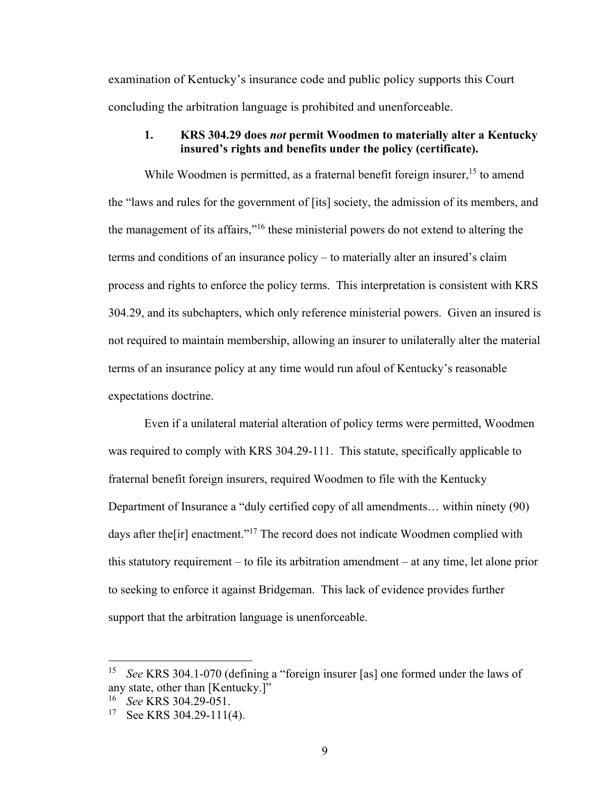examination of Kentucky's insurance code and public policy supports this Court concluding the arbitration language is prohibited and unenforceable.

#### **1. KRS 304.29 does** *not* **permit Woodmen to materially alter a Kentucky insured's rights and benefits under the policy (certificate).**

While Woodmen is permitted, as a fraternal benefit foreign insurer,  $15$  to amend the "laws and rules for the government of [its] society, the admission of its members, and the management of its affairs,"16 these ministerial powers do not extend to altering the terms and conditions of an insurance policy – to materially alter an insured's claim process and rights to enforce the policy terms. This interpretation is consistent with KRS 304.29, and its subchapters, which only reference ministerial powers. Given an insured is not required to maintain membership, allowing an insurer to unilaterally alter the material terms of an insurance policy at any time would run afoul of Kentucky's reasonable expectations doctrine.

Even if a unilateral material alteration of policy terms were permitted, Woodmen was required to comply with KRS 304.29-111. This statute, specifically applicable to fraternal benefit foreign insurers, required Woodmen to file with the Kentucky Department of Insurance a "duly certified copy of all amendments… within ninety (90) days after the [ir] enactment."<sup>17</sup> The record does not indicate Woodmen complied with this statutory requirement – to file its arbitration amendment – at any time, let alone prior to seeking to enforce it against Bridgeman. This lack of evidence provides further support that the arbitration language is unenforceable.

<sup>15</sup> *See* KRS 304.1-070 (defining a "foreign insurer [as] one formed under the laws of any state, other than [Kentucky.]"

<sup>16</sup> *See* KRS 304.29-051.

<sup>&</sup>lt;sup>17</sup> See KRS 304.29-111(4).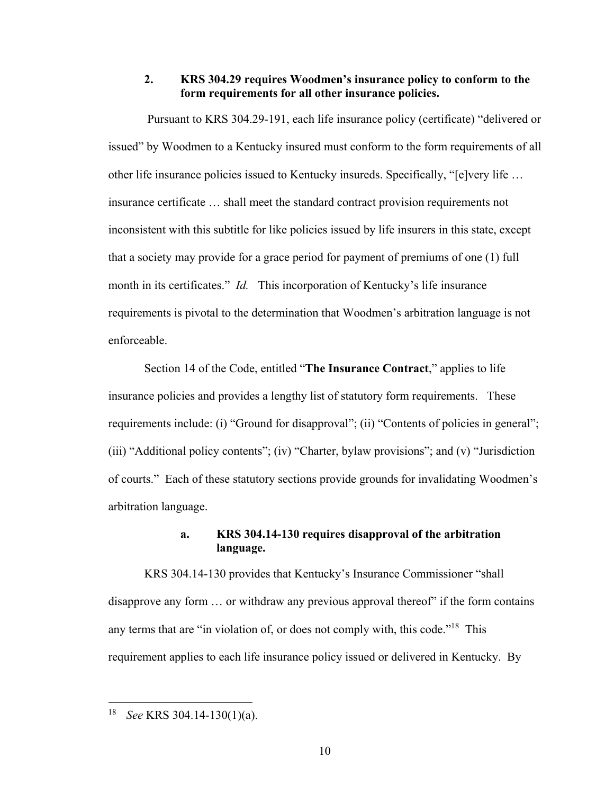#### **2. KRS 304.29 requires Woodmen's insurance policy to conform to the form requirements for all other insurance policies.**

 Pursuant to KRS 304.29-191, each life insurance policy (certificate) "delivered or issued" by Woodmen to a Kentucky insured must conform to the form requirements of all other life insurance policies issued to Kentucky insureds. Specifically, "[e]very life … insurance certificate … shall meet the standard contract provision requirements not inconsistent with this subtitle for like policies issued by life insurers in this state, except that a society may provide for a grace period for payment of premiums of one (1) full month in its certificates." *Id.* This incorporation of Kentucky's life insurance requirements is pivotal to the determination that Woodmen's arbitration language is not enforceable.

Section 14 of the Code, entitled "**The Insurance Contract**," applies to life insurance policies and provides a lengthy list of statutory form requirements. These requirements include: (i) "Ground for disapproval"; (ii) "Contents of policies in general"; (iii) "Additional policy contents"; (iv) "Charter, bylaw provisions"; and (v) "Jurisdiction of courts." Each of these statutory sections provide grounds for invalidating Woodmen's arbitration language.

## **a. KRS 304.14-130 requires disapproval of the arbitration language.**

KRS 304.14-130 provides that Kentucky's Insurance Commissioner "shall disapprove any form … or withdraw any previous approval thereof" if the form contains any terms that are "in violation of, or does not comply with, this code."<sup>18</sup> This requirement applies to each life insurance policy issued or delivered in Kentucky. By

<sup>18</sup> *See* KRS 304.14-130(1)(a).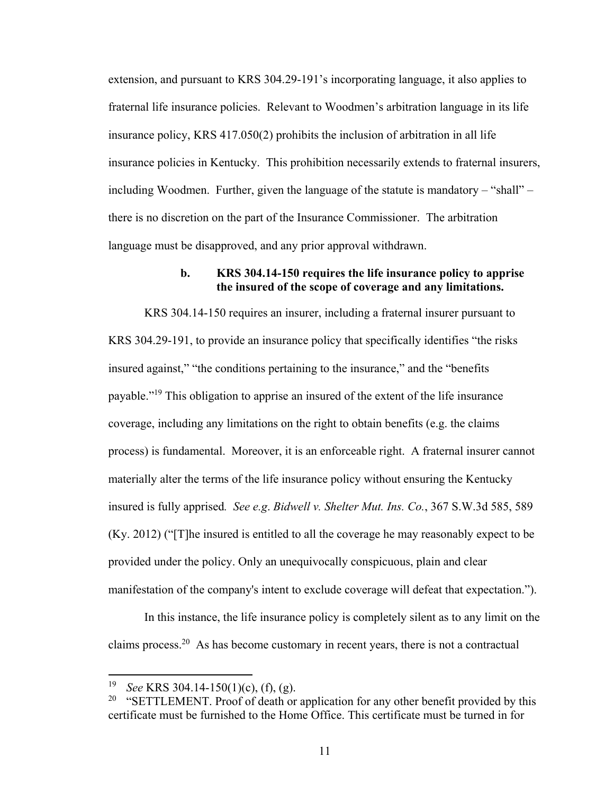extension, and pursuant to KRS 304.29-191's incorporating language, it also applies to fraternal life insurance policies. Relevant to Woodmen's arbitration language in its life insurance policy, KRS 417.050(2) prohibits the inclusion of arbitration in all life insurance policies in Kentucky. This prohibition necessarily extends to fraternal insurers, including Woodmen. Further, given the language of the statute is mandatory – "shall" – there is no discretion on the part of the Insurance Commissioner. The arbitration language must be disapproved, and any prior approval withdrawn.

#### **b. KRS 304.14-150 requires the life insurance policy to apprise the insured of the scope of coverage and any limitations.**

KRS 304.14-150 requires an insurer, including a fraternal insurer pursuant to KRS 304.29-191, to provide an insurance policy that specifically identifies "the risks insured against," "the conditions pertaining to the insurance," and the "benefits payable."19 This obligation to apprise an insured of the extent of the life insurance coverage, including any limitations on the right to obtain benefits (e.g. the claims process) is fundamental. Moreover, it is an enforceable right. A fraternal insurer cannot materially alter the terms of the life insurance policy without ensuring the Kentucky insured is fully apprised*. See e.g*. *Bidwell v. Shelter Mut. Ins. Co.*, 367 S.W.3d 585, 589 (Ky. 2012) ("[T]he insured is entitled to all the coverage he may reasonably expect to be provided under the policy. Only an unequivocally conspicuous, plain and clear manifestation of the company's intent to exclude coverage will defeat that expectation.").

In this instance, the life insurance policy is completely silent as to any limit on the claims process.<sup>20</sup> As has become customary in recent years, there is not a contractual

<sup>19</sup> *See* KRS 304.14-150(1)(c), (f), (g).

<sup>&</sup>lt;sup>20</sup> "SETTLEMENT. Proof of death or application for any other benefit provided by this certificate must be furnished to the Home Office. This certificate must be turned in for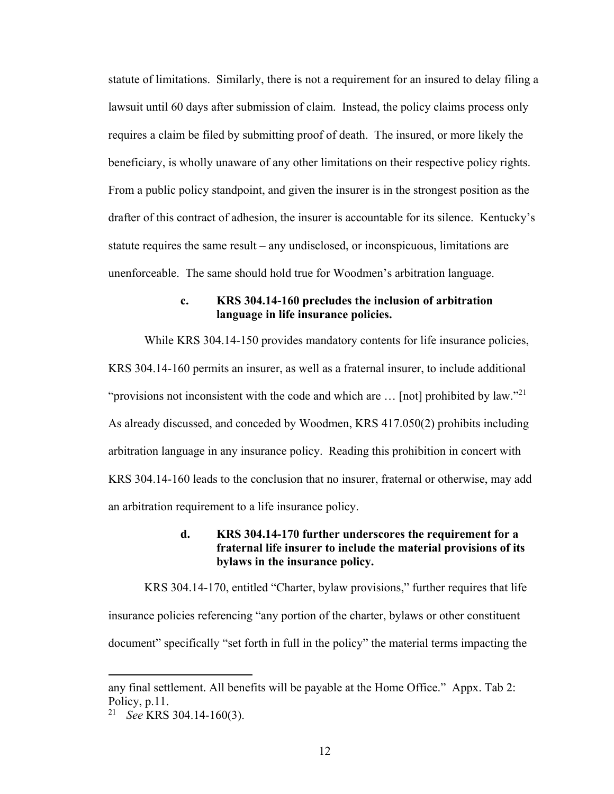statute of limitations. Similarly, there is not a requirement for an insured to delay filing a lawsuit until 60 days after submission of claim. Instead, the policy claims process only requires a claim be filed by submitting proof of death. The insured, or more likely the beneficiary, is wholly unaware of any other limitations on their respective policy rights. From a public policy standpoint, and given the insurer is in the strongest position as the drafter of this contract of adhesion, the insurer is accountable for its silence. Kentucky's statute requires the same result – any undisclosed, or inconspicuous, limitations are unenforceable. The same should hold true for Woodmen's arbitration language.

## **c. KRS 304.14-160 precludes the inclusion of arbitration language in life insurance policies.**

While KRS 304.14-150 provides mandatory contents for life insurance policies, KRS 304.14-160 permits an insurer, as well as a fraternal insurer, to include additional "provisions not inconsistent with the code and which are  $\ldots$  [not] prohibited by law."<sup>21</sup> As already discussed, and conceded by Woodmen, KRS 417.050(2) prohibits including arbitration language in any insurance policy. Reading this prohibition in concert with KRS 304.14-160 leads to the conclusion that no insurer, fraternal or otherwise, may add an arbitration requirement to a life insurance policy.

## **d. KRS 304.14-170 further underscores the requirement for a fraternal life insurer to include the material provisions of its bylaws in the insurance policy.**

KRS 304.14-170, entitled "Charter, bylaw provisions," further requires that life insurance policies referencing "any portion of the charter, bylaws or other constituent document" specifically "set forth in full in the policy" the material terms impacting the

any final settlement. All benefits will be payable at the Home Office." Appx. Tab 2: Policy, p.11.

<sup>21</sup> *See* KRS 304.14-160(3).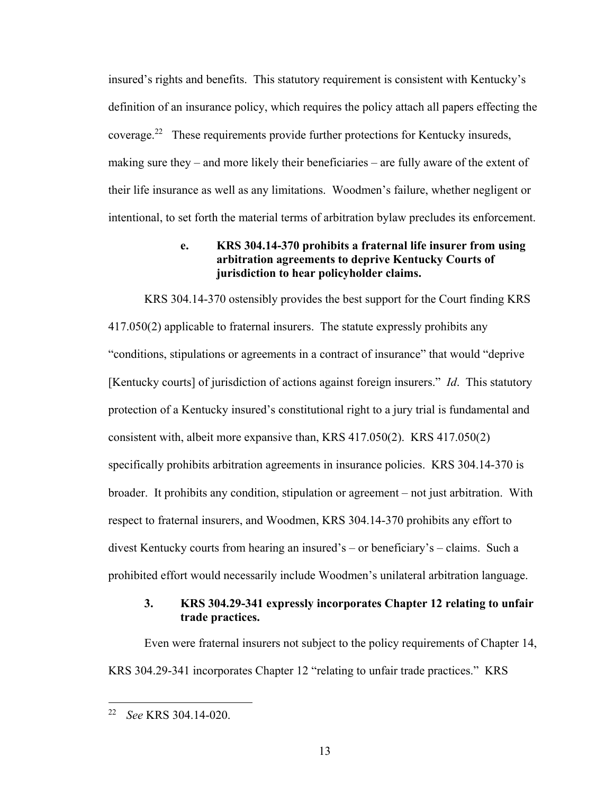insured's rights and benefits. This statutory requirement is consistent with Kentucky's definition of an insurance policy, which requires the policy attach all papers effecting the coverage.22 These requirements provide further protections for Kentucky insureds, making sure they – and more likely their beneficiaries – are fully aware of the extent of their life insurance as well as any limitations. Woodmen's failure, whether negligent or intentional, to set forth the material terms of arbitration bylaw precludes its enforcement.

## **e. KRS 304.14-370 prohibits a fraternal life insurer from using arbitration agreements to deprive Kentucky Courts of jurisdiction to hear policyholder claims.**

KRS 304.14-370 ostensibly provides the best support for the Court finding KRS 417.050(2) applicable to fraternal insurers. The statute expressly prohibits any "conditions, stipulations or agreements in a contract of insurance" that would "deprive [Kentucky courts] of jurisdiction of actions against foreign insurers." *Id*. This statutory protection of a Kentucky insured's constitutional right to a jury trial is fundamental and consistent with, albeit more expansive than, KRS 417.050(2). KRS 417.050(2) specifically prohibits arbitration agreements in insurance policies. KRS 304.14-370 is broader. It prohibits any condition, stipulation or agreement – not just arbitration. With respect to fraternal insurers, and Woodmen, KRS 304.14-370 prohibits any effort to divest Kentucky courts from hearing an insured's – or beneficiary's – claims. Such a prohibited effort would necessarily include Woodmen's unilateral arbitration language.

## **3. KRS 304.29-341 expressly incorporates Chapter 12 relating to unfair trade practices.**

Even were fraternal insurers not subject to the policy requirements of Chapter 14, KRS 304.29-341 incorporates Chapter 12 "relating to unfair trade practices." KRS

<sup>22</sup> *See* KRS 304.14-020.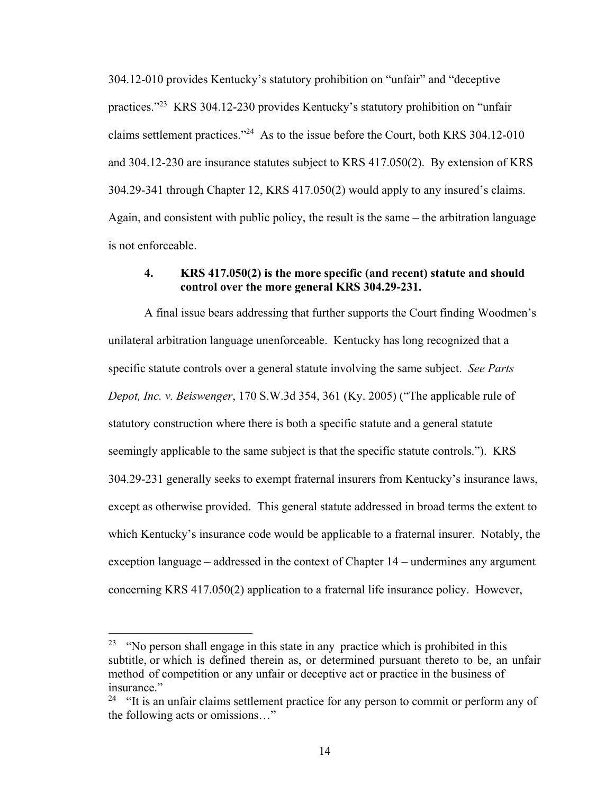304.12-010 provides Kentucky's statutory prohibition on "unfair" and "deceptive practices."23 KRS 304.12-230 provides Kentucky's statutory prohibition on "unfair claims settlement practices."24 As to the issue before the Court, both KRS 304.12-010 and 304.12-230 are insurance statutes subject to KRS 417.050(2). By extension of KRS 304.29-341 through Chapter 12, KRS 417.050(2) would apply to any insured's claims. Again, and consistent with public policy, the result is the same – the arbitration language is not enforceable.

#### **4. KRS 417.050(2) is the more specific (and recent) statute and should control over the more general KRS 304.29-231.**

A final issue bears addressing that further supports the Court finding Woodmen's unilateral arbitration language unenforceable. Kentucky has long recognized that a specific statute controls over a general statute involving the same subject. *See Parts Depot, Inc. v. Beiswenger*, 170 S.W.3d 354, 361 (Ky. 2005) ("The applicable rule of statutory construction where there is both a specific statute and a general statute seemingly applicable to the same subject is that the specific statute controls."). KRS 304.29-231 generally seeks to exempt fraternal insurers from Kentucky's insurance laws, except as otherwise provided. This general statute addressed in broad terms the extent to which Kentucky's insurance code would be applicable to a fraternal insurer. Notably, the exception language – addressed in the context of Chapter 14 – undermines any argument concerning KRS 417.050(2) application to a fraternal life insurance policy. However,

 $23$  "No person shall engage in this state in any practice which is prohibited in this subtitle, or which is defined therein as, or determined pursuant thereto to be, an unfair method of competition or any unfair or deceptive act or practice in the business of insurance."

 $24$  "It is an unfair claims settlement practice for any person to commit or perform any of the following acts or omissions…"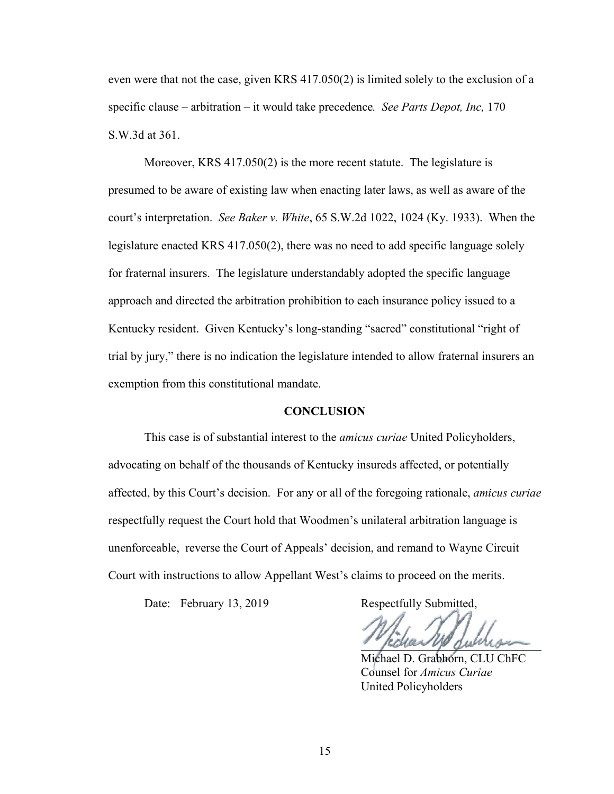even were that not the case, given KRS 417.050(2) is limited solely to the exclusion of a specific clause – arbitration – it would take precedence*. See Parts Depot, Inc,* 170 S.W.3d at 361.

Moreover, KRS 417.050(2) is the more recent statute. The legislature is presumed to be aware of existing law when enacting later laws, as well as aware of the court's interpretation. *See Baker v. White*, 65 S.W.2d 1022, 1024 (Ky. 1933). When the legislature enacted KRS 417.050(2), there was no need to add specific language solely for fraternal insurers. The legislature understandably adopted the specific language approach and directed the arbitration prohibition to each insurance policy issued to a Kentucky resident. Given Kentucky's long-standing "sacred" constitutional "right of trial by jury," there is no indication the legislature intended to allow fraternal insurers an exemption from this constitutional mandate.

#### **CONCLUSION**

 This case is of substantial interest to the *amicus curiae* United Policyholders, advocating on behalf of the thousands of Kentucky insureds affected, or potentially affected, by this Court's decision. For any or all of the foregoing rationale, *amicus curiae*  respectfully request the Court hold that Woodmen's unilateral arbitration language is unenforceable, reverse the Court of Appeals' decision, and remand to Wayne Circuit Court with instructions to allow Appellant West's claims to proceed on the merits.

Date: February 13, 2019 Respectfully Submitted,

 Michael D. Grabhorn, CLU ChFC Counsel for *Amicus Curiae* United Policyholders